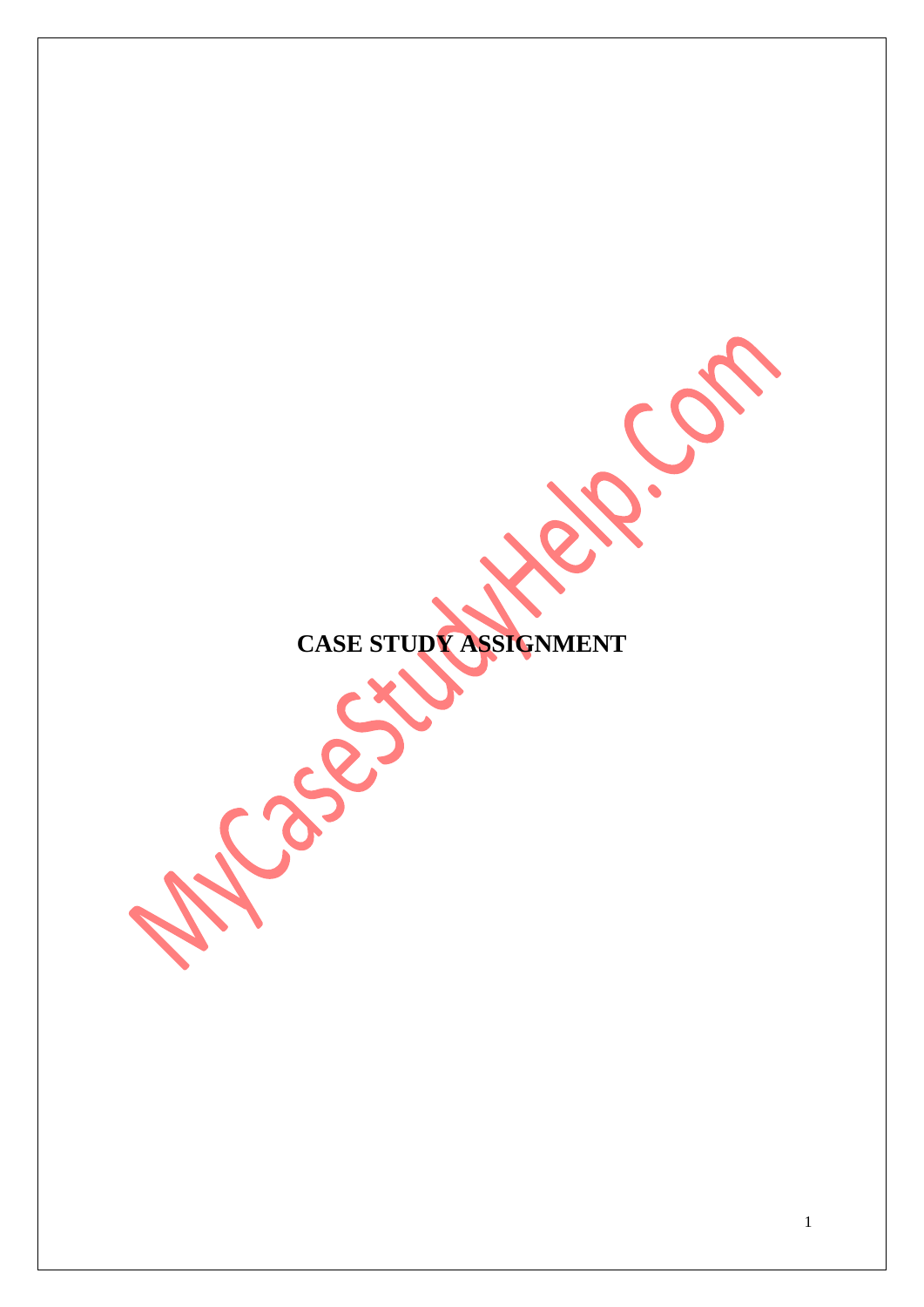**CASE STUDY ASSIGNMENT** 

Process

B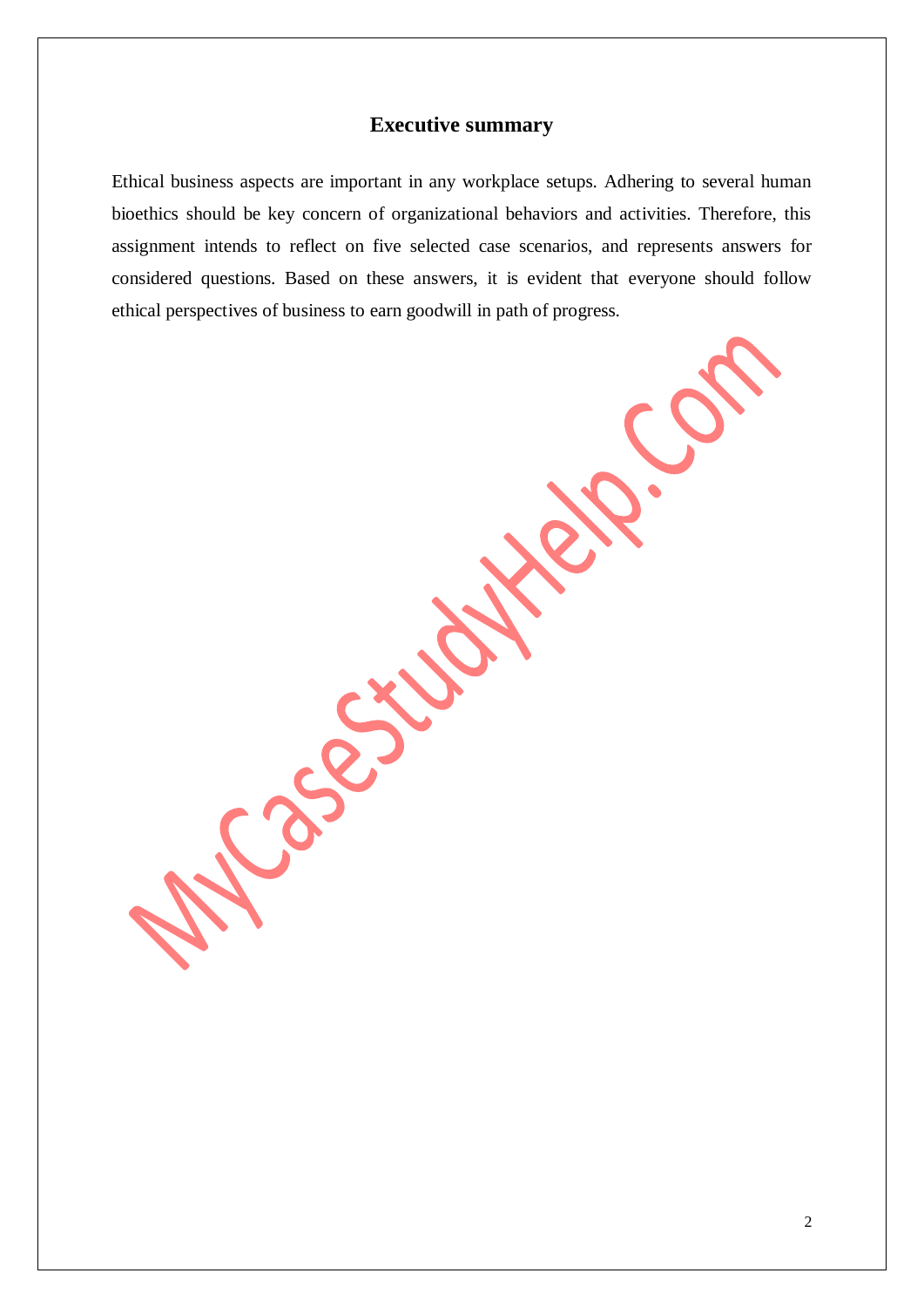# **Executive summary**

Ethical business aspects are important in any workplace setups. Adhering to several human bioethics should be key concern of organizational behaviors and activities. Therefore, this assignment intends to reflect on five selected case scenarios, and represents answers for considered questions. Based on these answers, it is evident that everyone should follow ethical perspectives of business to earn goodwill in path of progress.

X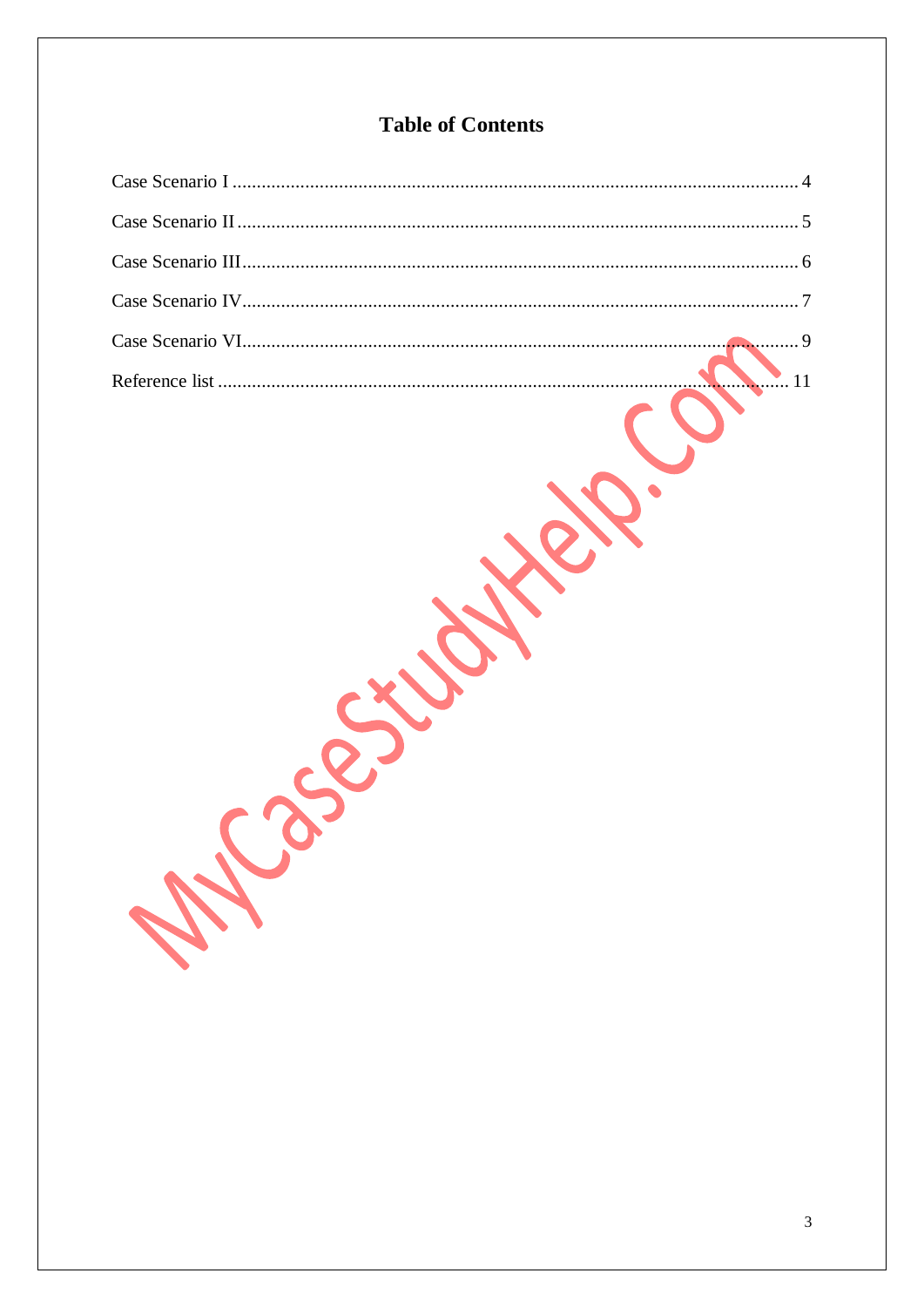# **Table of Contents**

228-25'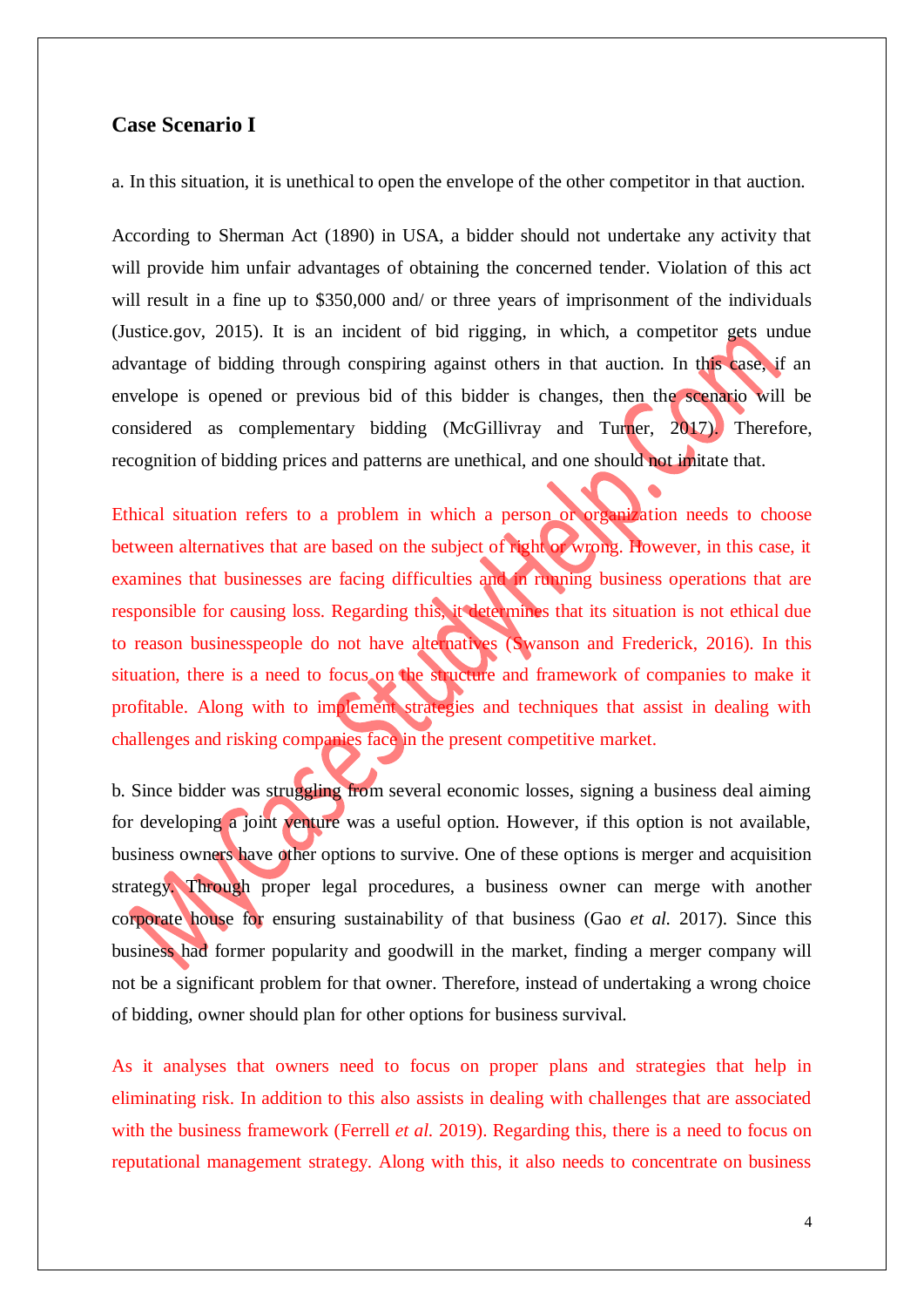### <span id="page-3-0"></span>**Case Scenario I**

a. In this situation, it is unethical to open the envelope of the other competitor in that auction.

According to Sherman Act (1890) in USA, a bidder should not undertake any activity that will provide him unfair advantages of obtaining the concerned tender. Violation of this act will result in a fine up to \$350,000 and/ or three years of imprisonment of the individuals (Justice.gov, 2015). It is an incident of bid rigging, in which, a competitor gets undue advantage of bidding through conspiring against others in that auction. In this case, if an envelope is opened or previous bid of this bidder is changes, then the scenario will be considered as complementary bidding (McGillivray and Turner, 2017). Therefore, recognition of bidding prices and patterns are unethical, and one should not imitate that.

Ethical situation refers to a problem in which a person or organization needs to choose between alternatives that are based on the subject of right or wrong. However, in this case, it examines that businesses are facing difficulties and in running business operations that are responsible for causing loss. Regarding this, it determines that its situation is not ethical due to reason businesspeople do not have alternatives (Swanson and Frederick, 2016). In this situation, there is a need to focus on the structure and framework of companies to make it profitable. Along with to implement strategies and techniques that assist in dealing with challenges and risking companies face in the present competitive market.

b. Since bidder was struggling from several economic losses, signing a business deal aiming for developing a joint venture was a useful option. However, if this option is not available, business owners have other options to survive. One of these options is merger and acquisition strategy. Through proper legal procedures, a business owner can merge with another corporate house for ensuring sustainability of that business (Gao *et al.* 2017). Since this business had former popularity and goodwill in the market, finding a merger company will not be a significant problem for that owner. Therefore, instead of undertaking a wrong choice of bidding, owner should plan for other options for business survival.

As it analyses that owners need to focus on proper plans and strategies that help in eliminating risk. In addition to this also assists in dealing with challenges that are associated with the business framework (Ferrell *et al.* 2019). Regarding this, there is a need to focus on reputational management strategy. Along with this, it also needs to concentrate on business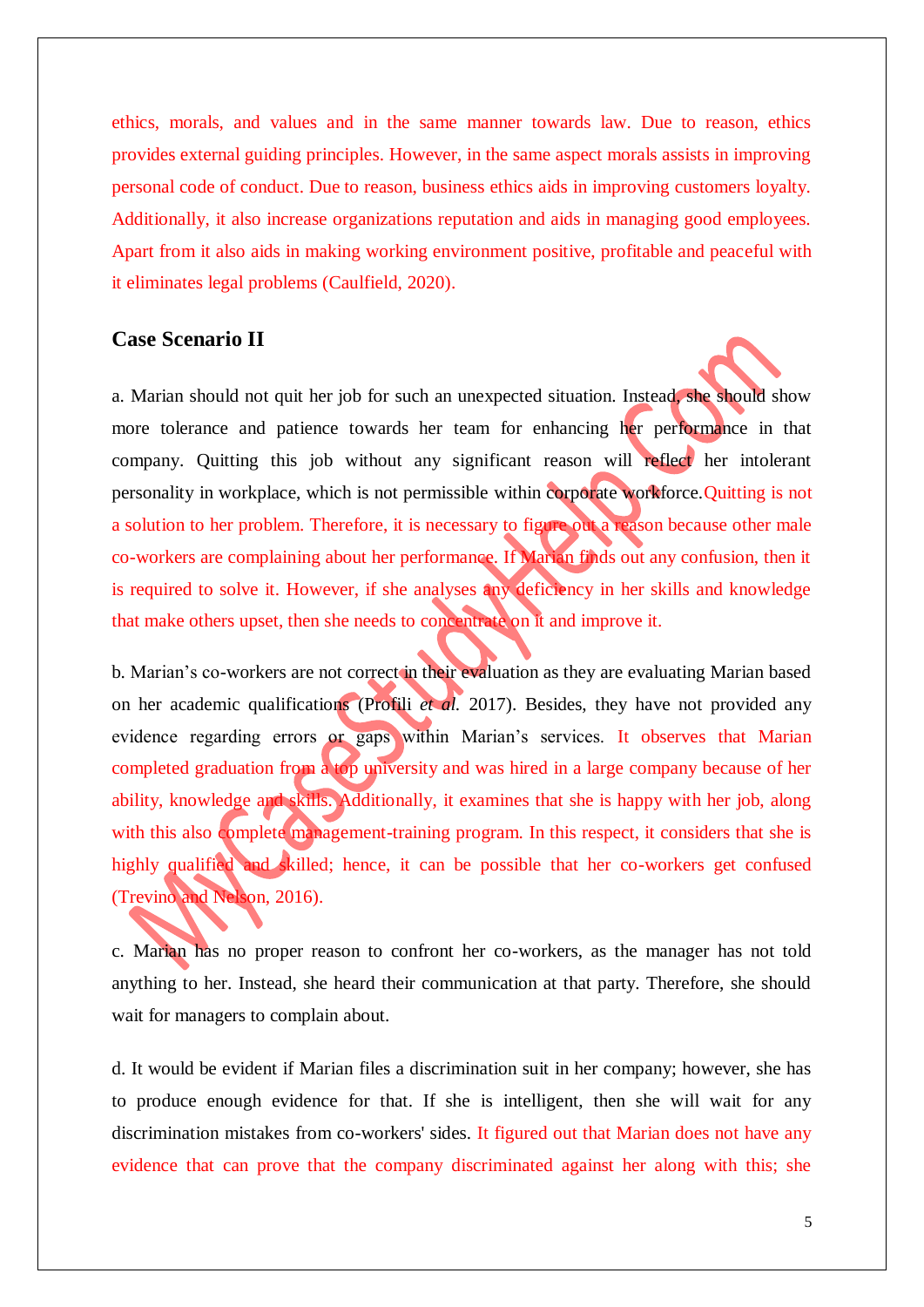ethics, morals, and values and in the same manner towards law. Due to reason, ethics provides external guiding principles. However, in the same aspect morals assists in improving personal code of conduct. Due to reason, business ethics aids in improving customers loyalty. Additionally, it also increase organizations reputation and aids in managing good employees. Apart from it also aids in making working environment positive, profitable and peaceful with it eliminates legal problems (Caulfield, 2020).

# <span id="page-4-0"></span>**Case Scenario II**

a. Marian should not quit her job for such an unexpected situation. Instead, she should show more tolerance and patience towards her team for enhancing her performance in that company. Quitting this job without any significant reason will reflect her intolerant personality in workplace, which is not permissible within corporate workforce.Quitting is not a solution to her problem. Therefore, it is necessary to figure out a reason because other male co-workers are complaining about her performance. If Marian finds out any confusion, then it is required to solve it. However, if she analyses any deficiency in her skills and knowledge that make others upset, then she needs to concentrate on it and improve it.

b. Marian's co-workers are not correct in their evaluation as they are evaluating Marian based on her academic qualifications (Profili *et al.* 2017). Besides, they have not provided any evidence regarding errors or gaps within Marian's services. It observes that Marian completed graduation from a top university and was hired in a large company because of her ability, knowledge and skills. Additionally, it examines that she is happy with her job, along with this also complete management-training program. In this respect, it considers that she is highly qualified and skilled; hence, it can be possible that her co-workers get confused (Trevino and Nelson, 2016).

c. Marian has no proper reason to confront her co-workers, as the manager has not told anything to her. Instead, she heard their communication at that party. Therefore, she should wait for managers to complain about.

d. It would be evident if Marian files a discrimination suit in her company; however, she has to produce enough evidence for that. If she is intelligent, then she will wait for any discrimination mistakes from co-workers' sides. It figured out that Marian does not have any evidence that can prove that the company discriminated against her along with this; she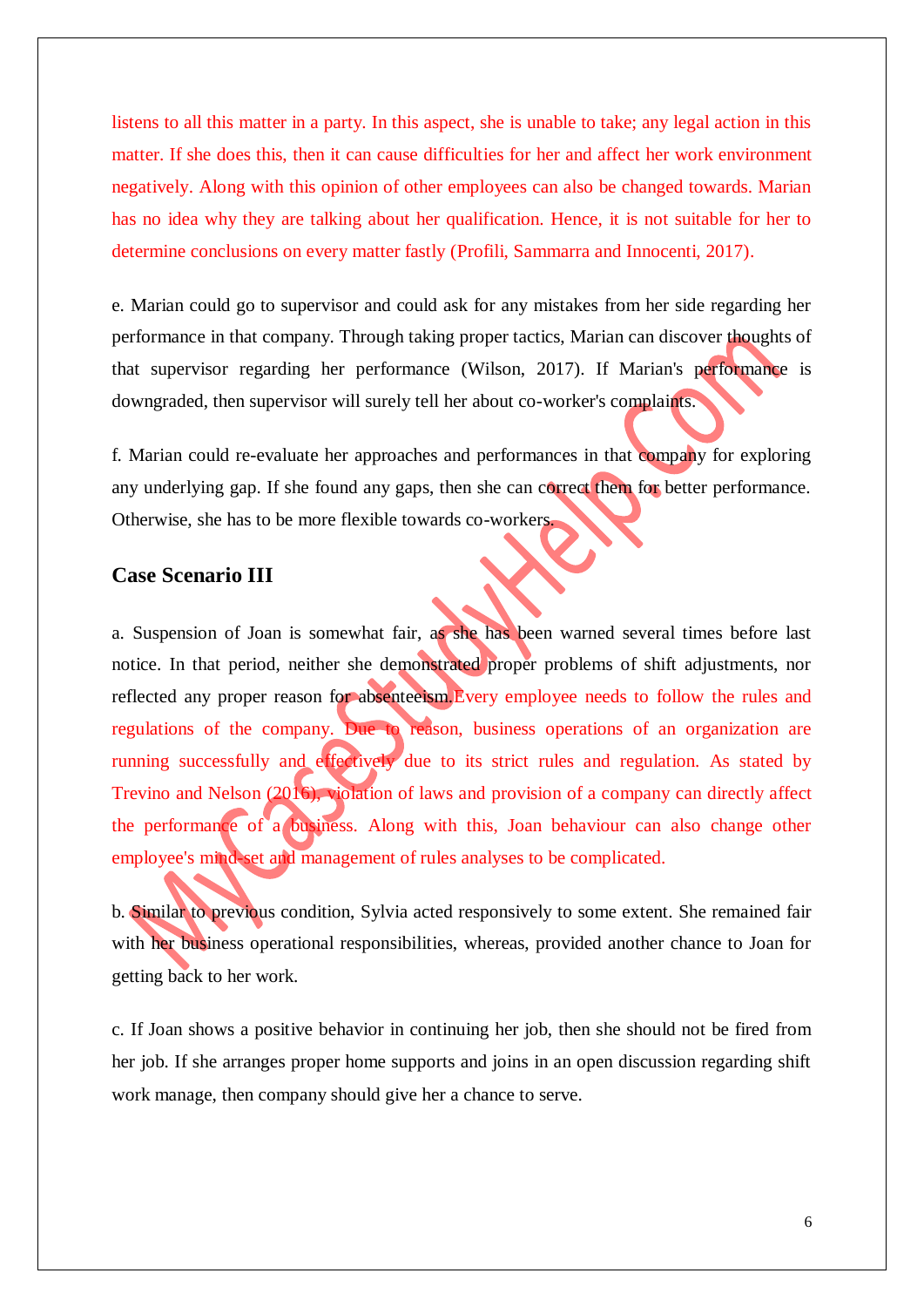listens to all this matter in a party. In this aspect, she is unable to take; any legal action in this matter. If she does this, then it can cause difficulties for her and affect her work environment negatively. Along with this opinion of other employees can also be changed towards. Marian has no idea why they are talking about her qualification. Hence, it is not suitable for her to determine conclusions on every matter fastly (Profili, Sammarra and Innocenti, 2017).

e. Marian could go to supervisor and could ask for any mistakes from her side regarding her performance in that company. Through taking proper tactics, Marian can discover thoughts of that supervisor regarding her performance (Wilson, 2017). If Marian's performance is downgraded, then supervisor will surely tell her about co-worker's complaints.

f. Marian could re-evaluate her approaches and performances in that company for exploring any underlying gap. If she found any gaps, then she can correct them for better performance. Otherwise, she has to be more flexible towards co-workers.

# <span id="page-5-0"></span>**Case Scenario III**

a. Suspension of Joan is somewhat fair, as she has been warned several times before last notice. In that period, neither she demonstrated proper problems of shift adjustments, nor reflected any proper reason for absenteeism.Every employee needs to follow the rules and regulations of the company. Due to reason, business operations of an organization are running successfully and effectively due to its strict rules and regulation. As stated by Trevino and Nelson (2016), violation of laws and provision of a company can directly affect the performance of a business. Along with this, Joan behaviour can also change other employee's mind-set and management of rules analyses to be complicated.

b. Similar to previous condition, Sylvia acted responsively to some extent. She remained fair with her business operational responsibilities, whereas, provided another chance to Joan for getting back to her work.

c. If Joan shows a positive behavior in continuing her job, then she should not be fired from her job. If she arranges proper home supports and joins in an open discussion regarding shift work manage, then company should give her a chance to serve.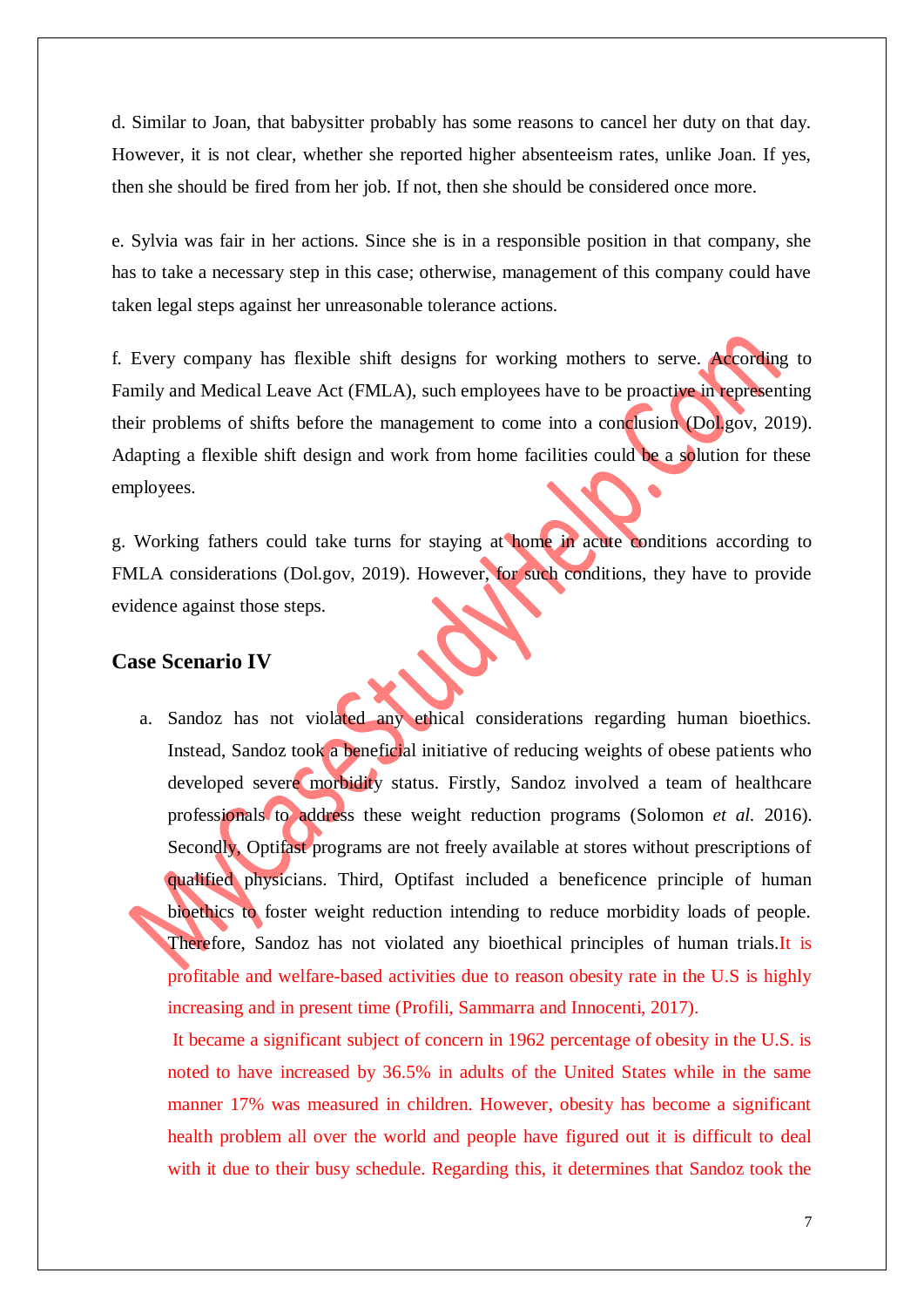d. Similar to Joan, that babysitter probably has some reasons to cancel her duty on that day. However, it is not clear, whether she reported higher absenteeism rates, unlike Joan. If yes, then she should be fired from her job. If not, then she should be considered once more.

e. Sylvia was fair in her actions. Since she is in a responsible position in that company, she has to take a necessary step in this case; otherwise, management of this company could have taken legal steps against her unreasonable tolerance actions.

f. Every company has flexible shift designs for working mothers to serve. According to Family and Medical Leave Act (FMLA), such employees have to be proactive in representing their problems of shifts before the management to come into a conclusion (Dol.gov, 2019). Adapting a flexible shift design and work from home facilities could be a solution for these employees.

g. Working fathers could take turns for staying at home in acute conditions according to FMLA considerations (Dol.gov, 2019). However, for such conditions, they have to provide evidence against those steps.

## <span id="page-6-0"></span>**Case Scenario IV**

a. Sandoz has not violated any ethical considerations regarding human bioethics. Instead, Sandoz took a beneficial initiative of reducing weights of obese patients who developed severe morbidity status. Firstly, Sandoz involved a team of healthcare professionals to address these weight reduction programs (Solomon *et al.* 2016). Secondly, Optifast programs are not freely available at stores without prescriptions of qualified physicians. Third, Optifast included a beneficence principle of human bioethics to foster weight reduction intending to reduce morbidity loads of people. Therefore, Sandoz has not violated any bioethical principles of human trials. It is profitable and welfare-based activities due to reason obesity rate in the U.S is highly increasing and in present time (Profili, Sammarra and Innocenti, 2017).

It became a significant subject of concern in 1962 percentage of obesity in the U.S. is noted to have increased by 36.5% in adults of the United States while in the same manner 17% was measured in children. However, obesity has become a significant health problem all over the world and people have figured out it is difficult to deal with it due to their busy schedule. Regarding this, it determines that Sandoz took the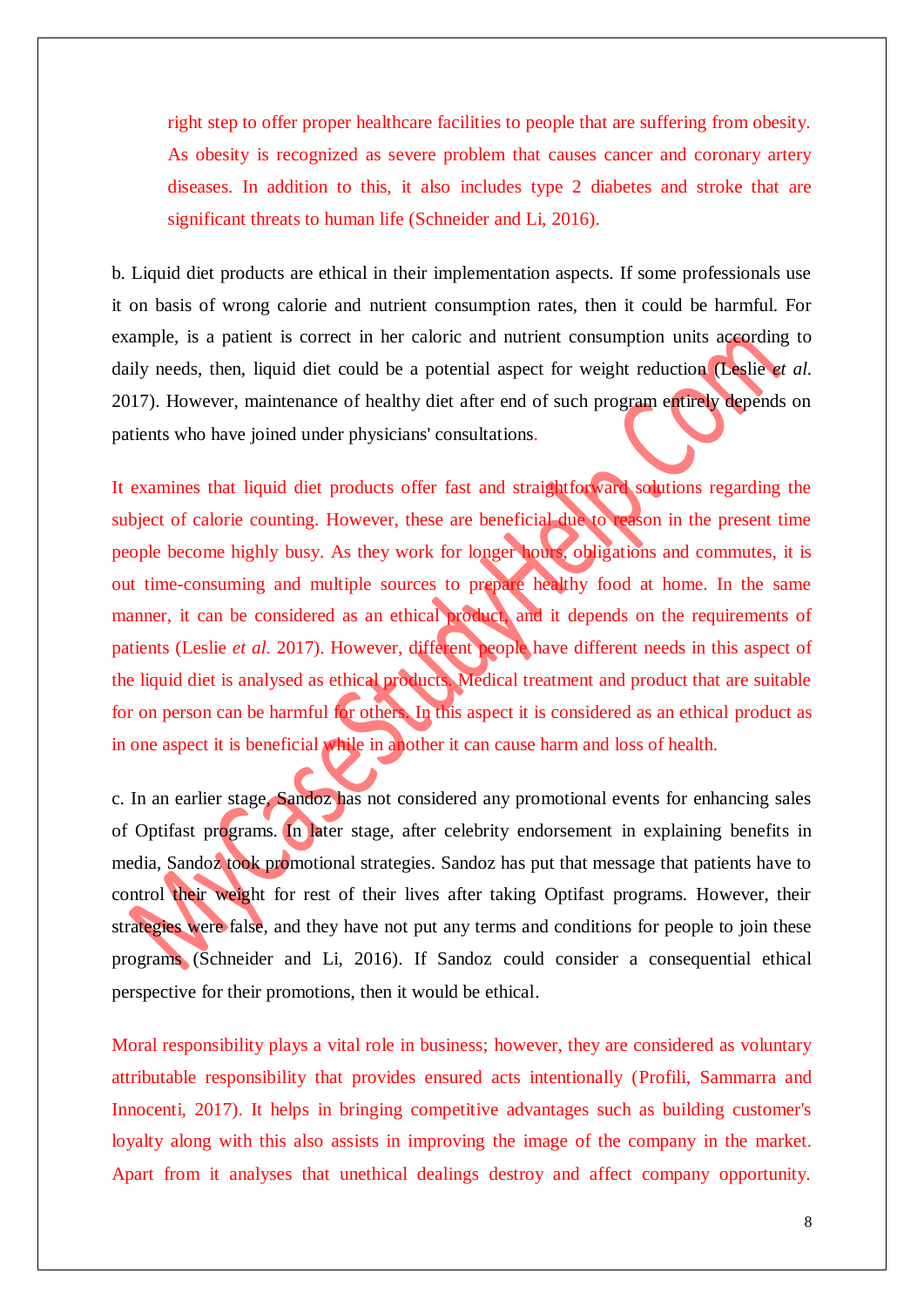right step to offer proper healthcare facilities to people that are suffering from obesity. As obesity is recognized as severe problem that causes cancer and coronary artery diseases. In addition to this, it also includes type 2 diabetes and stroke that are significant threats to human life (Schneider and Li, 2016).

b. Liquid diet products are ethical in their implementation aspects. If some professionals use it on basis of wrong calorie and nutrient consumption rates, then it could be harmful. For example, is a patient is correct in her caloric and nutrient consumption units according to daily needs, then, liquid diet could be a potential aspect for weight reduction (Leslie *et al.* 2017). However, maintenance of healthy diet after end of such program entirely depends on patients who have joined under physicians' consultations.

It examines that liquid diet products offer fast and straightforward solutions regarding the subject of calorie counting. However, these are beneficial due to reason in the present time people become highly busy. As they work for longer hours, obligations and commutes, it is out time-consuming and multiple sources to prepare healthy food at home. In the same manner, it can be considered as an ethical product, and it depends on the requirements of patients (Leslie *et al.* 2017). However, different people have different needs in this aspect of the liquid diet is analysed as ethical products. Medical treatment and product that are suitable for on person can be harmful for others. In this aspect it is considered as an ethical product as in one aspect it is beneficial while in another it can cause harm and loss of health.

c. In an earlier stage, Sandoz has not considered any promotional events for enhancing sales of Optifast programs. In later stage, after celebrity endorsement in explaining benefits in media, Sandoz took promotional strategies. Sandoz has put that message that patients have to control their weight for rest of their lives after taking Optifast programs. However, their strategies were false, and they have not put any terms and conditions for people to join these programs (Schneider and Li, 2016). If Sandoz could consider a consequential ethical perspective for their promotions, then it would be ethical.

Moral responsibility plays a vital role in business; however, they are considered as voluntary attributable responsibility that provides ensured acts intentionally (Profili, Sammarra and Innocenti, 2017). It helps in bringing competitive advantages such as building customer's loyalty along with this also assists in improving the image of the company in the market. Apart from it analyses that unethical dealings destroy and affect company opportunity.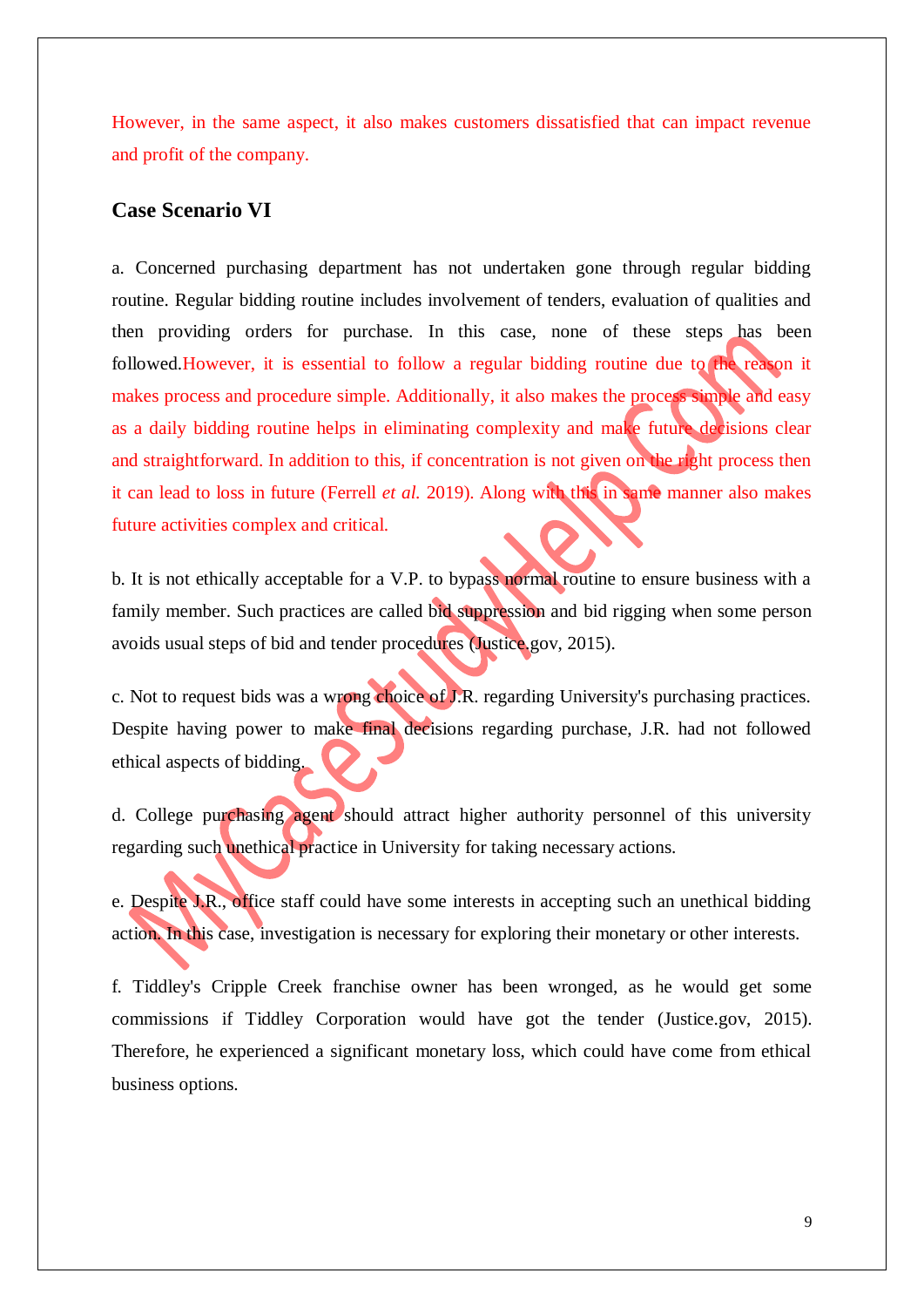However, in the same aspect, it also makes customers dissatisfied that can impact revenue and profit of the company.

#### <span id="page-8-0"></span>**Case Scenario VI**

a. Concerned purchasing department has not undertaken gone through regular bidding routine. Regular bidding routine includes involvement of tenders, evaluation of qualities and then providing orders for purchase. In this case, none of these steps has been followed.However, it is essential to follow a regular bidding routine due to the reason it makes process and procedure simple. Additionally, it also makes the process simple and easy as a daily bidding routine helps in eliminating complexity and make future decisions clear and straightforward. In addition to this, if concentration is not given on the right process then it can lead to loss in future (Ferrell *et al.* 2019). Along with this in same manner also makes future activities complex and critical.

b. It is not ethically acceptable for a V.P. to bypass normal routine to ensure business with a family member. Such practices are called bid suppression and bid rigging when some person avoids usual steps of bid and tender procedures (Justice.gov, 2015).

c. Not to request bids was a wrong choice of J.R. regarding University's purchasing practices. Despite having power to make final decisions regarding purchase, J.R. had not followed ethical aspects of bidding.

d. College purchasing agent should attract higher authority personnel of this university regarding such unethical practice in University for taking necessary actions.

e. Despite J.R., office staff could have some interests in accepting such an unethical bidding action. In this case, investigation is necessary for exploring their monetary or other interests.

f. Tiddley's Cripple Creek franchise owner has been wronged, as he would get some commissions if Tiddley Corporation would have got the tender (Justice.gov, 2015). Therefore, he experienced a significant monetary loss, which could have come from ethical business options.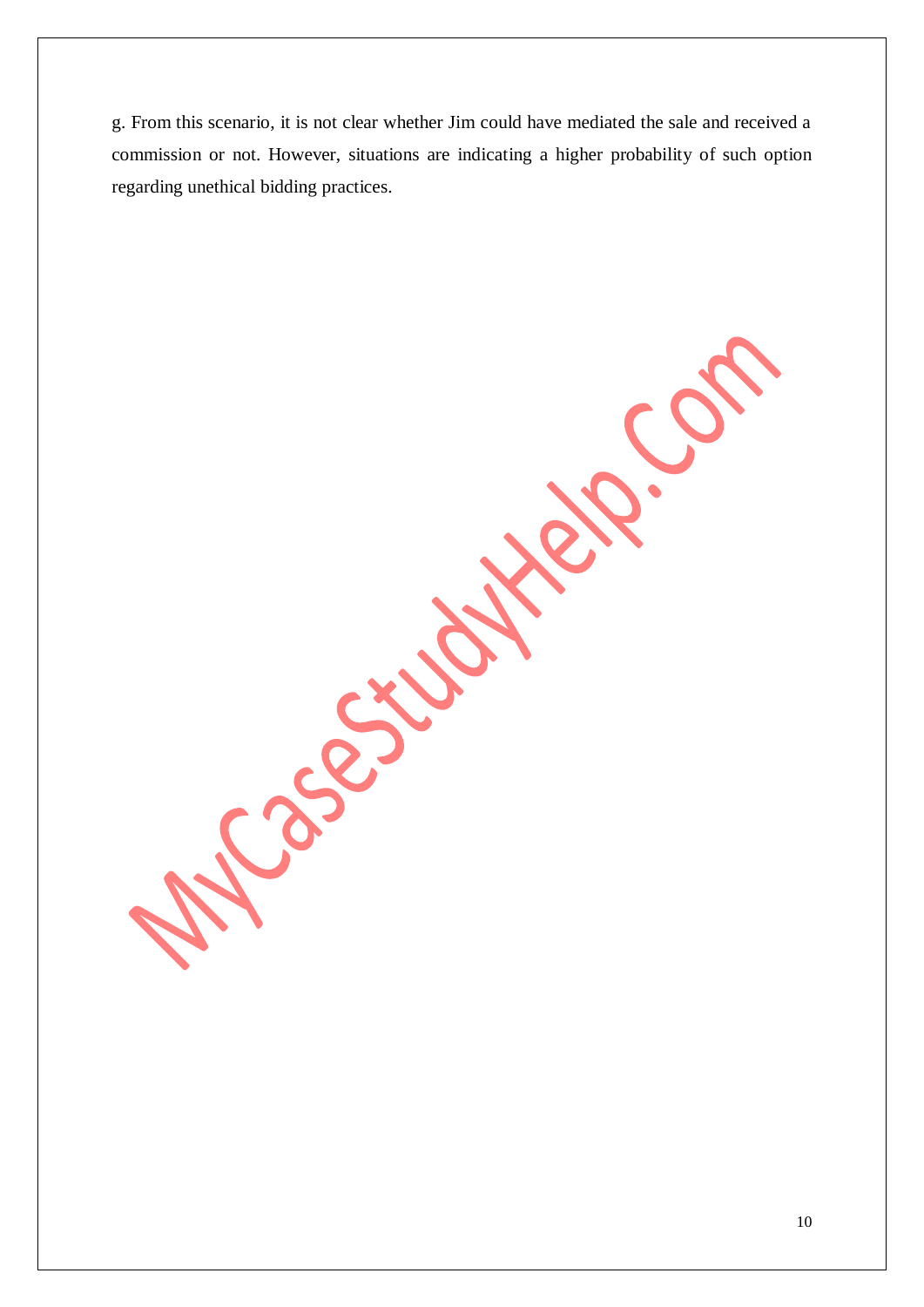g. From this scenario, it is not clear whether Jim could have mediated the sale and received a commission or not. However, situations are indicating a higher probability of such option regarding unethical bidding practices.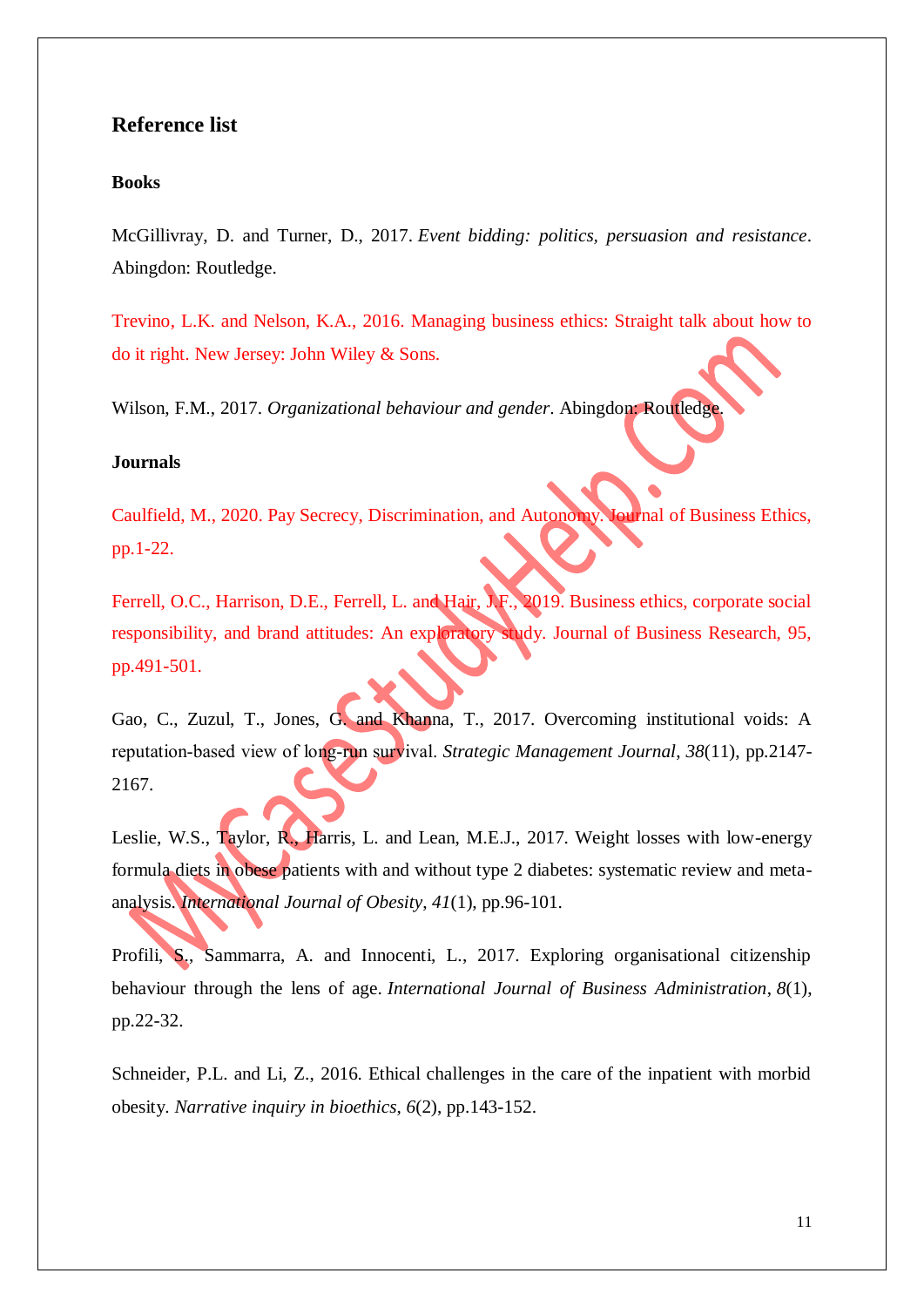## <span id="page-10-0"></span>**Reference list**

#### **Books**

McGillivray, D. and Turner, D., 2017. *Event bidding: politics, persuasion and resistance*. Abingdon: Routledge.

Trevino, L.K. and Nelson, K.A., 2016. Managing business ethics: Straight talk about how to do it right. New Jersey: John Wiley & Sons.

Wilson, F.M., 2017. *Organizational behaviour and gender*. Abingdon: Routledge.

#### **Journals**

Caulfield, M., 2020. Pay Secrecy, Discrimination, and Autonomy. Journal of Business Ethics, pp.1-22.

Ferrell, O.C., Harrison, D.E., Ferrell, L. and Hair, J.F., 2019. Business ethics, corporate social responsibility, and brand attitudes: An exploratory study. Journal of Business Research, 95, pp.491-501.

Gao, C., Zuzul, T., Jones, G. and Khanna, T., 2017. Overcoming institutional voids: A reputation‐based view of long‐run survival. *Strategic Management Journal*, *38*(11), pp.2147- 2167.

Leslie, W.S., Taylor, R., Harris, L. and Lean, M.E.J., 2017. Weight losses with low-energy formula diets in obese patients with and without type 2 diabetes: systematic review and metaanalysis. *International Journal of Obesity*, *41*(1), pp.96-101.

Profili, S., Sammarra, A. and Innocenti, L., 2017. Exploring organisational citizenship behaviour through the lens of age. *International Journal of Business Administration*, *8*(1), pp.22-32.

Schneider, P.L. and Li, Z., 2016. Ethical challenges in the care of the inpatient with morbid obesity. *Narrative inquiry in bioethics*, *6*(2), pp.143-152.